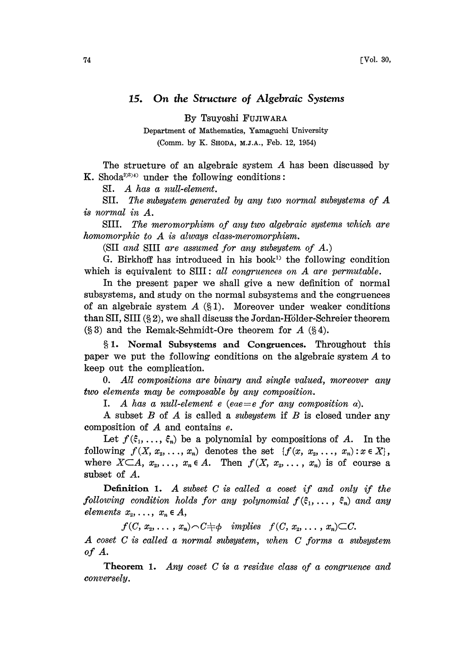## 15. On the Structure of Algebraic Systems

By Tsuyoshi FUJIWARA

Department of Mathematics, Yamaguchi University (Comm. by K. SHODA, M.J.A., Feb. 12, 1954)

The structure of an algebraic system A has been discussed by K. Shoda<sup> $(3)$ 5)4)</sup> under the following conditions:

SI. A has <sup>a</sup> null-element.

SII. The subsystem generated by any two normal subsystems of A is normal in A.

SIII. The meromorphism of any two algebraic systems which are homomorphic to  $A$  is always class-meromorphism.

(SII and SIII are assumed for any subsystem of A.)

G. Birkhoff has introduced in his book<sup>1)</sup> the following condition which is equivalent to SIII: all congruences on  $A$  are permutable.

In the present paper we shall give a new definition of normal subsystems, and study on the normal subsystems and the congruences of an algebraic system  $A$  (§1). Moreover under weaker conditions than SII, SIII  $(\S 2)$ , we shall discuss the Jordan-Hölder-Schreier theorem  $(\S 3)$  and the Remak-Schmidt-Ore theorem for A  $(\S 4)$ .

1. Normal Subsystems and Congruences. Throughout this paper we put the following conditions on the algebraic system A to keep out the complication.

O. All compositions are binary and single valued, moreover any two elements nay be composable by any composition.

I. A has a null-element e (eae  $=$ e for any composition  $\alpha$ ).

A subset  $B$  of  $A$  is called a *subsystem* if  $B$  is closed under any composition of A and contains e.

Let  $f(\xi_1, \ldots, \xi_n)$  be a polynomial by compositions of A. In the following  $f(X, x_2, \ldots, x_n)$  denotes the set  $\{f(x, x_2, \ldots, x_n) : x \in X\},$ where  $X \subset A$ ,  $x_2, \ldots, x_n \in A$ . Then  $f(X, x_2, \ldots, x_n)$  is of course a subset of A.

**Definition 1.** A subset  $C$  is called a coset if and only if the following condition holds for any polynomial  $f(\xi_1, \ldots, \xi_n)$  and any elements  $x_2, \ldots, x_n \in A$ ,

 $f(C, x_2, \ldots, x_n) \cap C \neq \emptyset$  implies  $f(C, x_2, \ldots, x_n) \subset C$ . A coset C is called <sup>a</sup> normal subsystem, when C forms <sup>a</sup> subsystem of A.

**Theorem 1.** Any coset  $C$  is a residue class of a congruence and conversely.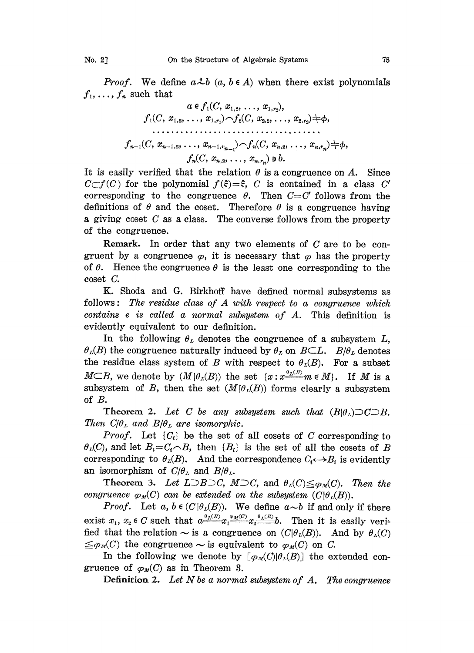*Proof.* We define  $a * b$   $(a, b \in A)$  when there exist polynomials  $f_1, \ldots, f_n$  such that

a ..., f (C, A(C, .., b.

It is easily verified that the relation  $\theta$  is a congruence on A. Since  $C\subset f(C)$  for the polynomial  $f(\xi)=\xi$ , C is contained in a class C' corresponding to the congruence  $\theta$ . Then  $C=C'$  follows from the definitions of  $\theta$  and the coset. Therefore  $\theta$  is a congruence having <sup>a</sup> giving coset C as <sup>a</sup> class. The converse follows from the property of the congruence.

Remark. In order that any two elements of  $C$  are to be congruent by a congruence  $\varphi$ , it is necessary that  $\varphi$  has the property of  $\theta$ . Hence the congruence  $\theta$  is the least one corresponding to the coset C.

K. Shoda and G. Birkhoff have defined normal subsystems as follows: The residue class of  $A$  with respect to a congruence which contains <sup>e</sup> is called a normal subsystem of A. This definition is evidently equivalent to our definition.

In the following  $\theta_L$  denotes the congruence of a subsystem L,  $\theta_L(B)$  the congruence naturally induced by  $\theta_L$  on  $B\subset L$ .  $B/\theta_L$  denotes the residue class system of B with respect to  $\theta_L(B)$ . For a subset  $M \subset B$ , we denote by  $(M|\theta_L(B))$  the set  $\{x: x \stackrel{\theta_L(B)}{\equiv \equiv} m \in M\}$ . If M is a subsystem of B, then the set  $(M|\theta_L(B))$  forms clearly a subsystem of B.

**Theorem 2.** Let C be any subsystem such that  $(B|\theta_L) \supset C \supset B$ . Then  $C/\theta_L$  and  $B/\theta_L$  are isomorphic.

*Proof.* Let  $\{C_i\}$  be the set of all cosets of C corresponding to  $\theta_L(C)$ , and let  $B_i = C_i \cap B$ , then  $\{B_i\}$  is the set of all the cosets of B corresponding to  $\theta_L(B)$ . And the correspondence  $C_i \leftrightarrow B_i$  is evidently an isomorphism of  $C/\theta_L$  and  $B/\theta_L$ .

Theorem 3. Let  $L\supset B\supset C$ ,  $M\supset C$ , and  $\theta_L(C)\leq \varphi_M(C)$ . Then the congruence  $\varphi_M(C)$  can be extended on the subsystem  $(C|\theta_L(B))$ .

*Proof.* Let  $a, b \in (C | \theta_L(B))$ . We define  $a \sim b$  if and only if there exist  $x_1, x_2 \in C$  such that  $a \frac{\theta_L(B)}{1-\theta} x_1 \frac{\theta_L(B)}{1-\theta} b$ . Then it is easily verified that the relation  $\sim$  is a congruence on  $(C|\theta_L(B))$ . And by  $\theta_L(C)$ 

 $\leq \varphi_M(C)$  the congruence  $\sim$  is equivalent to  $\varphi_M(C)$  on C.<br>
In the following we denote by  $[\varphi_M(C)|\theta_L(B)]$  the ex-<br>
gruence of  $\varphi_M(C)$  as in Theorem 3.<br>
Definition 2. Let N be a normal subsystem of A TV In the following we denote by  $[\varphi_M(C)|\theta_L(B)]$  the extended congruence of  $\varphi_M(C)$  as in Theorem 3.<br>Definition 2. Let N be a normal subsystem of A. The congruence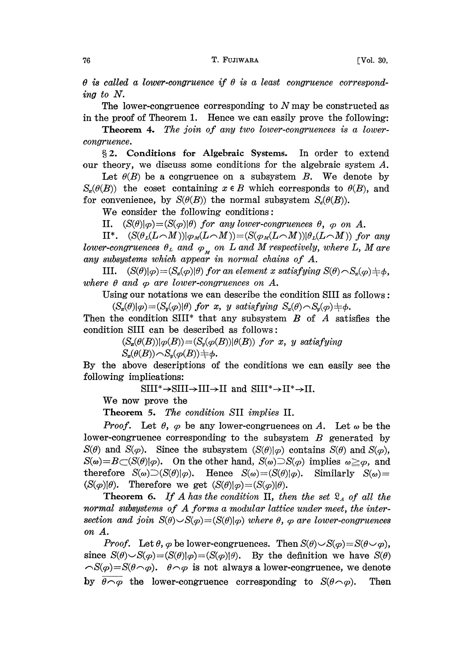$\theta$  is called a lower-congruence if  $\theta$  is a least congruence corresponding to N.

The lower-congruence corresponding to  $N$  may be constructed as in the proof of Theorem 1. Hence we can easily prove the following:

Theorem 4. The join of any two lower-congruences is a lowercongruence.

§2. Conditions for Algebraic Systems. In order to extend our theory, we discuss some conditions for the algebraic system  $A$ .

Let  $\theta(B)$  be a congruence on a subsystem B. We denote by  $S_x(\theta(B))$  the coset containing  $x \in B$  which corresponds to  $\theta(B)$ , and for convenience, by  $S(\theta(B))$  the normal subsystem  $S_{\epsilon}(\theta(B))$ .

We consider the following conditions:

II.  $(S(\theta)|\varphi) = (S(\varphi)|\theta)$  for any lower-congruences  $\theta$ ,  $\varphi$  on A.

II\*.  $(S(\theta_L(L\cap M))|\varphi_M(L\cap M))=(S(\varphi_M(L\cap M))|\theta_L(L\cap M))$  for any lower-congruences  $\theta_L$  and  $\varphi_M$  on L and M respectively, where L, M are any subsystems which appear in normal chains of A.

III.  $(S(\theta)|\varphi)=(S_x(\varphi)|\theta)$  for an element x satisfying  $S(\theta)\cap S_x(\varphi)+\phi$ , where  $\theta$  and  $\varphi$  are lower-congruences on A.

Using our notations we can describe the condition SIII as follows

 $(S_x(\theta)|\varphi)=(S_y(\varphi)|\theta)$  for x, y satisfying  $S_x(\theta)\cap S_y(\varphi)+\varphi$ .

Then the condition SIII<sup>\*</sup> that any subsystem  $B$  of  $A$  satisfies the condition SIII can be described as follows:

> $(S_{\mathbf{z}}(\theta(B))|\varphi(B))=(S_{\mathbf{y}}(\varphi(B))|\theta(B))$  for x, y satisfying  $S_n(\theta(B)) \cap S_n(\varphi(B)) \neq \phi.$

By the above descriptions of the conditions we can easily see the following implications:

 $SIII^* \rightarrow SIII \rightarrow III \rightarrow II$  and  $SIII^* \rightarrow II^* \rightarrow II$ .

We now prove the

Theorem 5. The condition SII implies II.

*Proof.* Let  $\theta$ ,  $\varphi$  be any lower-congruences on A. Let  $\omega$  be the lower-congruence corresponding to the subsystem  $B$  generated by  $S(\theta)$  and  $S(\phi)$ . Since the subsystem  $(S(\theta)|\phi)$  contains  $S(\theta)$  and  $S(\phi)$ ,  $S(\omega)=B\subset (S(\theta)|\varphi)$ . On the other hand,  $S(\omega)\supset S(\varphi)$  implies  $\omega \geq \varphi$ , and therefore  $S(\omega) \supset (S(\theta)|\varphi)$ . Hence  $S(\omega) = (S(\theta)|\varphi)$ . Similarly  $S(\omega) =$  $(S(\varphi)|\theta)$ . Therefore we get  $(S(\theta)|\varphi) = (S(\varphi)|\theta)$ .

**Theorem 6.** If A has the condition II, then the set  $\mathcal{R}_A$  of all the normal subsystems of A forms a modular lattice under meet, the intersection and join  $S(\theta) \setminus S(\varphi) = (S(\theta)|\varphi)$  where  $\theta$ ,  $\varphi$  are lower-congruences on A.

*Proof.* Let  $\theta$ ,  $\varphi$  be lower-congruences. Then  $S(\theta) \sim S(\varphi) = S(\theta \sim \varphi)$ , since  $S(\theta) \sim S(\phi) = (S(\theta)|\phi) = (S(\phi)|\theta)$ . By the definition we have  $S(\theta)$  $\widehat{\mathcal{S}}(\varphi)=\mathcal{S}(\theta\widehat{\phantom{\alpha}}\varphi)$ .  $\theta\widehat{\phantom{\alpha}}\varphi$  is not always a lower-congruence, we denote by  $\overline{\theta \cap \varphi}$  the lower-congruence corresponding to  $S(\theta \cap \varphi)$ . Then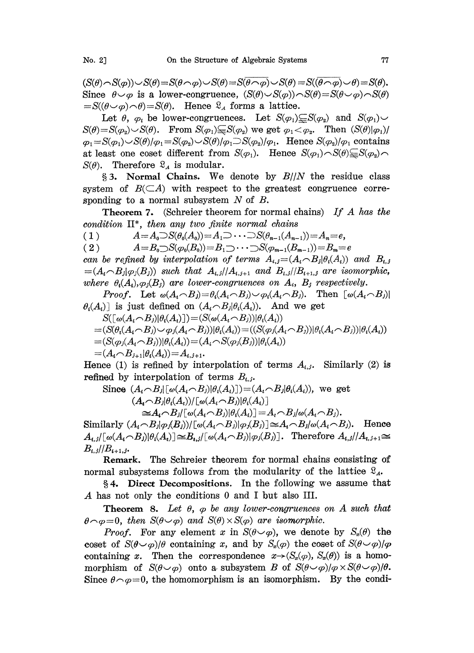$(S(\theta) \cap S(\varphi)) \cup S(\theta) = S(\theta \cap \varphi) \cup S(\theta) = S(\overline{\theta} \cap \varphi) \cup S(\theta) = S(\overline{\theta} \cap \varphi) \cup \theta) = S(\theta)$ .<br>Since  $\theta \cup \varphi$  is a lower-congruence,  $(S(\theta) \cup S(\varphi)) \cap S(\theta) = S(\theta \cup \varphi) \cap S(\theta)$ <br> $-S(\theta \cup \varphi) \cap S(\theta)$ . Hence  $S$ , forms a lattice Since  $\theta \sim \varphi$  is a lower-congruence,  $(S(\theta) \sim S(\varphi)) \sim S(\theta) = S(\theta \sim \varphi) \sim S(\theta)$ <br>=S( $(\theta \sim \varphi) \sim \theta$ )=S( $\theta$ ). Hence  $\Omega_A$  forms a lattice.

Let  $\theta$ ,  $\varphi_i$  be lower-congruences. Let  $S(\varphi_1) \subseteq S(\varphi_2)$  and  $S(\varphi_1) \cup$  $S(\theta) = S(\varphi_2) \setminus S(\theta)$ . From  $S(\varphi_1) \subseteq S(\varphi_2)$  we get  $\varphi_1 < \varphi_2$ . Then  $(S(\theta)|\varphi_1)/\varphi_2$  $\varphi_1 = S(\varphi_1) \sim S(\theta)/\varphi_1 = S(\varphi_2) \sim S(\theta)/\varphi_1 \sim S(\varphi_2)/\varphi_1$ . Hence  $S(\varphi_2)/\varphi_1$  contains at least one coset different from  $S(\varphi_1)$ . Hence  $S(\varphi_1) \cap S(\theta) \subseteq S(\varphi_2) \cap$  $S(\theta)$ . Therefore  $\mathfrak{L}_A$  is modular.

§ 3. Normal Chains. We denote by  $B/|N|$  the residue class system of  $B(\subset A)$  with respect to the greatest congruence corresponding to a normal subsystem  $N$  of  $B$ .

Theorem 7. (Schreier theorem for normal chains) If A has the condition  $II^*$ , then any two finite normal chains

(1)  $A=A_0\supset S(\theta_0(A_0))=A_1\supset \cdots \supset S(\theta_{n-1}(A_{n-1}))=A_n=e,$ 

( 2 )  $A=B_0\supset S(\varphi_0(B_0))=B_1\supset \cdots \supset S(\varphi_{m-1}(B_{m-1}))=B_m=e$ 

can be refined by interpolation of terms  $A_{i,j} = (A_i \cap B_j | \theta_i(A_i))$  and  $B_{i,j}$  $=(A_i \cap B_j | \varphi_i(B_i))$  such that  $A_{i,j}/A_{i,j+1}$  and  $B_{i,j}/B_{i+1,j}$  are isomorphic, where  $\theta_i(A_i),\varphi_j(B_j)$  are lower-congruences on  $A_i$ ,  $B_j$  respectively.

*Proof.* Let  $\omega(A_i \cap B_j) = \theta_i(A_i \cap B_j) \cup \varphi_i(A_i \cap B_j)$ . Then  $[\omega(A_i \cap B_j)]$  $\theta_i(A_i)$  is just defined on  $(A_i \cap B_i | \theta_i(A_i))$ . And we get

$$
S([\omega(A_i \cap B_j)|\theta_i(A_i)]) = (S(\omega(A_i \cap B_j))|\theta_i(A_i))
$$
  
=  $(S(\theta_i(A_i \cap B_j) \cup \varphi_j(A_i \cap B_j))|\theta_i(A_i)) = ((S(\varphi_j(A_i \cap B_j))|\theta_i(A_i))$   
=  $(S(\varphi_j(A_i \cap B_j))|\theta_i(A_i)) = (A_i \cap S(\varphi_j(B_j))|\theta_i(A_i))$   
=  $(A_i \cap B_{j+1}|\theta_i(A_i)) = A_{i,j+1}.$ 

Hence (1) is refined by interpolation of terms  $A_{i,j}$ . Similarly (2) is refined by interpolation of terms  $B_{i,j}$ .

Since 
$$
(A_i \cap B_j | [\omega(A_i \cap B_j)| \theta_i(A_i)]) = (A_i \cap B_j | \theta_i(A_i))
$$
, we get  
\n $(A_i \cap B_j | \theta_i(A_i)) / [\omega(A_i \cap B_j)| \theta_i(A_i)]$   
\n $\cong A_i \cap B_j / [\omega(A_i \cap B_j)| \theta_i(A_i)] = A_i \cap B_j / \omega(A_i \cap B_j)$ .

 $\cong A_i \cap B_j/[\omega(A_i \cap B_j)|\theta_i(A_i)] = A_i \cap B_j/\omega(A_i \cap B_j).$ <br>Similarly  $(A_i \cap B_j|\varphi_j(B_j))/[\omega(A_i \cap B_j)|\varphi_j(B_j)] \cong A_i \cap B_j/\omega(A_i \cap B_j).$  Hence  $A_{i,j}[\omega(A_i \cap B_j)|\theta_i(A_i)] \cong B_{i,j}[\omega(A_i \cap B_j)|\varphi_i(B_j)].$  Therefore  $A_{i,j}/A_{i,j+1} \cong$  $B_{\iota,\,j}/B_{\iota+1,\,j}.$ 

Remark. The Schreier theorem for normal chains consisting of normal subsystems follows from the modularity of the lattice  $\mathcal{L}_{A}$ .

§4. Direct Decompositions. In the following we assume that A has not only the conditions <sup>0</sup> and <sup>I</sup> but also III.

**Theorem 8.** Let  $\theta$ ,  $\varphi$  be any lower-congruences on A such that  $\theta \cap \varphi = 0$ , then  $S(\theta \cup \varphi)$  and  $S(\theta) \times S(\varphi)$  are isomorphic.

*Proof.* For any element x in  $S(\theta \sim \varphi)$ , we denote by  $S_{\varphi}(\theta)$  the coset of  $S(\theta \sim \varphi)/\theta$  containing x, and by  $S_n(\varphi)$  the coset of  $S(\theta \sim \varphi)/\varphi$ containing x. Then the correspondence  $x \rightarrow (S_x(\varphi), S_x(\theta))$  is a homomorphism of  $S(\theta \sim \varphi)$  onto a subsystem B of  $S(\theta \sim \varphi)/\varphi \times S(\theta \sim \varphi)/\theta$ . Since  $\theta \sim \varphi = 0$ , the homomorphism is an isomorphism. By the condi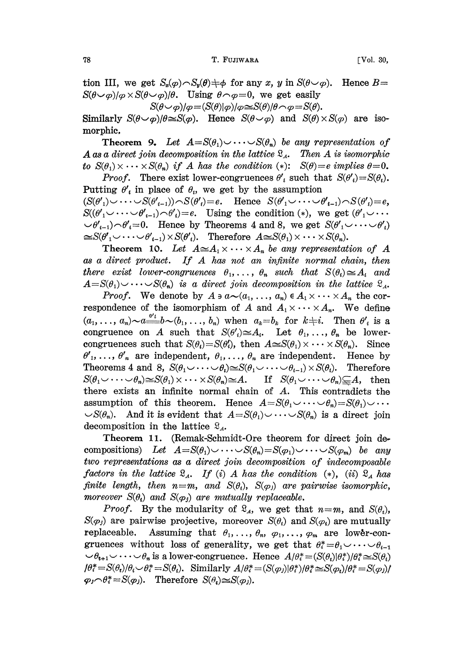tion III, we get  $S_n(\varphi) \cap S_n(\theta) \neq \varphi$  for any x, y in  $S(\theta \circ \varphi)$ . Hence  $B=$  $S(\theta \sim \varphi)/\varphi \times S(\theta \sim \varphi)/\theta$ . Using  $\theta \sim \varphi=0$ , we get easily

 $S(\theta \cup \varphi)/\varphi = (S(\theta)|\varphi)/\varphi \cong S(\theta)/\theta \cap \varphi = S(\theta).$ 

Similarly  $S(\theta \sim \varphi)/\theta \cong S(\varphi)$ . Hence  $S(\theta \sim \varphi)$  and  $S(\theta) \times S(\varphi)$  are isomorphic,

**Theorem 9.** Let  $A = S(\theta_1) \cup \cdots \cup S(\theta_n)$  be any representation of A as a direct join decomposition in the lattice  $\mathfrak{L}_4$ . Then A is isomorphic to  $S(\theta_1) \times \cdots \times S(\theta_n)$  if A has the condition (\*):  $S(\theta) = e$  implies  $\theta = 0$ .

*Proof.* There exist lower-congruences  $\theta'$ , such the **Putting**  $\theta'$ , in place of  $\theta$ , we get by the assumption *Proof.* There exist lower-congruences  $\theta'$  such that  $S(\theta') = S(\theta_i)$ .  $(S(\theta')_1) \cup \cdots \cup S(\theta'_{i-1})) \cap S(\theta') = e$ . Hence  $S(\theta'_1 \cup \cdots \cup \theta'_{i-1}) \cap S(\theta'_i) = e$ ,  $S((\theta'_1 \cup \cdots \cup \theta'_{i-1}) \cap \theta'_i)=e$ . Using the condition (\*), we get  $(\theta'_1 \cup \cdots \theta'_i)=e$ .  $\langle \psi_1,\psi_2\rangle$ ,  $\theta'_1=0$ . Hence by Theorems 4 and 8, we get  $S(\theta'_1\vee\dots\vee\theta'_n)$  $\cong S(\theta'_1 \cup \cdots \cup \theta'_{i-1}) \times S(\theta'_i).$  Therefore  $A \cong S(\theta_1) \times \cdots \times S(\theta_n).$ 

Theorem 10. Let  $A \cong A_1 \times \cdots \times A_n$  be any representation of A as <sup>a</sup> direct product. If A has not an infinite normal chain, then there exist lower-congruences  $\theta_1, \ldots, \theta_n$  such that  $S(\theta_i) \cong A_i$  and  $A=S(\theta_1)\cup\cdots\cup S(\theta_n)$  is a direct join decomposition in the lattice  $\mathfrak{L}_A$ .

*Proof.* We denote by  $A \ni a \sim (a_1, \ldots, a_n) \in A_1 \times \cdots \times A_n$  the correspondence of the isomorphism of A and  $A_1 \times \cdots \times A_n$ . We define  $(a_1,\ldots,a_n)\sim a \stackrel{\theta' k}{\equiv} b \sim (b_1,\ldots,b_n)$  when  $a_k=b_k$  for  $k\neq i$ . Then  $\theta'_i$  is a congruence on A such that  $S(\theta') \cong A_i$ . Let  $\theta_1, \ldots, \theta_n$  be lowercongruences such that  $S(\theta_i)=S(\theta'_i)$ , then  $A\cong S(\theta_1)\times\cdots\times S(\theta_n)$ . Since  $\theta'$ <sub>1</sub>, ...,  $\theta'$ <sub>n</sub> are independent,  $\theta$ <sub>1</sub>, ...,  $\theta$ <sub>n</sub> are independent. Hence by Theorems 4 and 8,  $S(\theta_1 \cup \cdots \cup \theta_i) \cong S(\theta_1 \cup \cdots \cup \theta_{i-1}) \times S(\theta_i)$ . Therefore  $S(\theta_1 \cup \cdots \cup \theta_n) \cong S(\theta_1) \times \cdots \times S(\theta_n) \cong A$ . If  $S(\theta_1 \cup \cdots \cup \theta_n) \subseteq A$ , then there exists an infinite normal chain of A. This contradicts the assumption of this theorem. Hence  $A=S(\theta_1\cup\cdots\cup\theta_n)=S(\theta_1)\cup\cdots$  $\mathcal{S}(\theta_n)$ . And it is evident that  $A=S(\theta_1)\cup\cdots\cup S(\theta_n)$  is a direct join decomposition in the lattice  $\mathfrak{L}_A$ .

Theorem 11. (Remak-Schmidt-Ore theorem for direct join compositions) Let  $A=S(\theta_1)\cup\cdots\cup S(\theta_n)=S(\phi_1)\cup\cdots\cup S(\phi_m)$  be any two representations as a direct join decomposition of indecomposable factors in the lattice  $\mathfrak{L}_A$ . If (i) A has the condition (\*), (ii)  $\mathfrak{L}_A$  has finite length, then  $n=m$ , and  $S(\theta_i)$ ,  $S(\varphi_j)$  are pairwise isomorphic, moreover  $S(\theta_i)$  and  $S(\varphi_i)$  are mutually replaceable.

*Proof.* By the modularity of  $\mathcal{R}_A$ , we get that  $n=m$ , and  $S(\theta_i)$ ,  $S(\varphi_i)$  are pairwise projective, moreover  $S(\theta_i)$  and  $S(\varphi_i)$  are mutually replaceable. Assuming that  $\theta_1, \ldots, \theta_n, \varphi_1, \ldots, \varphi_m$  are lower-congruences without loss of generality, we get that  $\theta_i^* = \theta_1 \cup \cdots \cup \theta_{i-1}$  $\psi \rightarrow \theta_{i+1} \circ \cdots \circ \theta_n$  is a lower-congruence. Hence  $A/\theta_i^* = (S(\theta_i)|\theta_i^*)/\theta_i^* \approx S(\theta_i)$  $\theta_i^* = S(\theta_i)/\theta_i \smile \theta_i^* = S(\theta_i)$ . Similarly  $A/\theta_i^* = (S(\varphi_i)|\theta_i^*)/\theta_i^* \approx S(\varphi_i)/\theta_i^* = S(\varphi_i)/\theta_i$  $\varphi_j \cap \theta_i^* = S(\varphi_j)$ . Therefore  $S(\theta_i) \cong S(\varphi_j)$ .